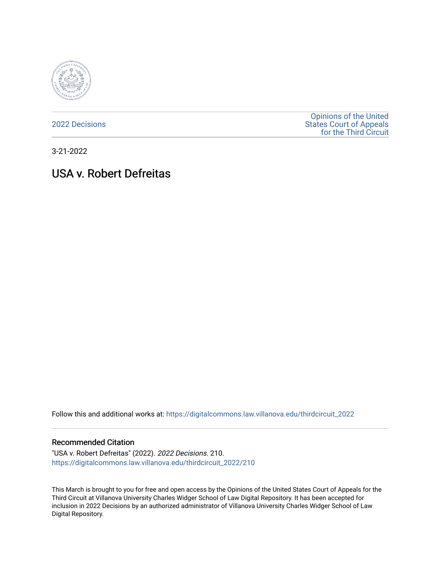

[2022 Decisions](https://digitalcommons.law.villanova.edu/thirdcircuit_2022)

[Opinions of the United](https://digitalcommons.law.villanova.edu/thirdcircuit)  [States Court of Appeals](https://digitalcommons.law.villanova.edu/thirdcircuit)  [for the Third Circuit](https://digitalcommons.law.villanova.edu/thirdcircuit) 

3-21-2022

# USA v. Robert Defreitas

Follow this and additional works at: [https://digitalcommons.law.villanova.edu/thirdcircuit\\_2022](https://digitalcommons.law.villanova.edu/thirdcircuit_2022?utm_source=digitalcommons.law.villanova.edu%2Fthirdcircuit_2022%2F210&utm_medium=PDF&utm_campaign=PDFCoverPages) 

#### Recommended Citation

"USA v. Robert Defreitas" (2022). 2022 Decisions. 210. [https://digitalcommons.law.villanova.edu/thirdcircuit\\_2022/210](https://digitalcommons.law.villanova.edu/thirdcircuit_2022/210?utm_source=digitalcommons.law.villanova.edu%2Fthirdcircuit_2022%2F210&utm_medium=PDF&utm_campaign=PDFCoverPages)

This March is brought to you for free and open access by the Opinions of the United States Court of Appeals for the Third Circuit at Villanova University Charles Widger School of Law Digital Repository. It has been accepted for inclusion in 2022 Decisions by an authorized administrator of Villanova University Charles Widger School of Law Digital Repository.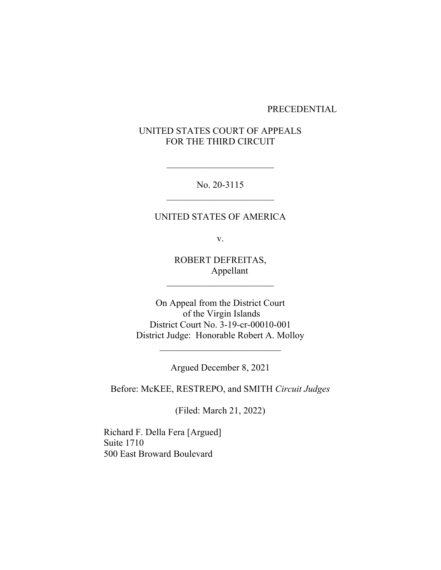### PRECEDENTIAL

# UNITED STATES COURT OF APPEALS FOR THE THIRD CIRCUIT

No. 20-3115

# UNITED STATES OF AMERICA

v.

ROBERT DEFREITAS, Appellant

 $\mathcal{L}_\text{max}$ 

On Appeal from the District Court of the Virgin Islands District Court No. 3-19-cr-00010-001 District Judge: Honorable Robert A. Molloy

Argued December 8, 2021

Before: McKEE, RESTREPO, and SMITH *Circuit Judges*

(Filed: March 21, 2022)

Richard F. Della Fera [Argued] Suite 1710 500 East Broward Boulevard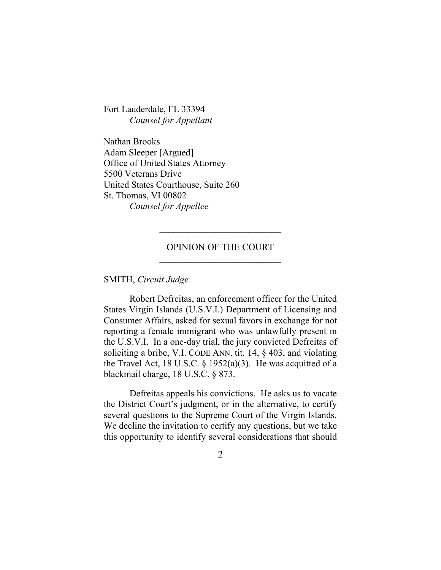Fort Lauderdale, FL 33394 *Counsel for Appellant*

Nathan Brooks Adam Sleeper [Argued] Office of United States Attorney 5500 Veterans Drive United States Courthouse, Suite 260 St. Thomas, VI 00802 *Counsel for Appellee*

# OPINION OF THE COURT  $\mathcal{L}_\text{max}$

SMITH, *Circuit Judge*

Robert Defreitas, an enforcement officer for the United States Virgin Islands (U.S.V.I.) Department of Licensing and Consumer Affairs, asked for sexual favors in exchange for not reporting a female immigrant who was unlawfully present in the U.S.V.I. In a one-day trial, the jury convicted Defreitas of soliciting a bribe, V.I. CODE ANN. tit. 14, § 403, and violating the Travel Act, 18 U.S.C.  $\S$  1952(a)(3). He was acquitted of a blackmail charge, 18 U.S.C. § 873.

Defreitas appeals his convictions. He asks us to vacate the District Court's judgment, or in the alternative, to certify several questions to the Supreme Court of the Virgin Islands. We decline the invitation to certify any questions, but we take this opportunity to identify several considerations that should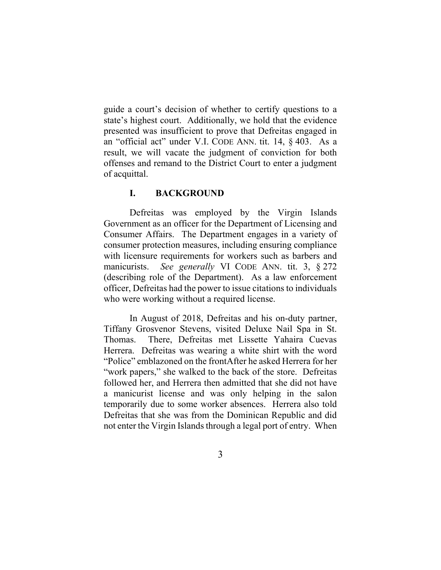guide a court's decision of whether to certify questions to a state's highest court. Additionally, we hold that the evidence presented was insufficient to prove that Defreitas engaged in an "official act" under V.I. CODE ANN. tit. 14, § 403. As a result, we will vacate the judgment of conviction for both offenses and remand to the District Court to enter a judgment of acquittal.

# **I. BACKGROUND**

Defreitas was employed by the Virgin Islands Government as an officer for the Department of Licensing and Consumer Affairs. The Department engages in a variety of consumer protection measures, including ensuring compliance with licensure requirements for workers such as barbers and manicurists. *See generally* VI CODE ANN. tit. 3, § 272 (describing role of the Department). As a law enforcement officer, Defreitas had the power to issue citations to individuals who were working without a required license.

In August of 2018, Defreitas and his on-duty partner, Tiffany Grosvenor Stevens, visited Deluxe Nail Spa in St. Thomas. There, Defreitas met Lissette Yahaira Cuevas Herrera. Defreitas was wearing a white shirt with the word "Police" emblazoned on the frontAfter he asked Herrera for her "work papers," she walked to the back of the store. Defreitas followed her, and Herrera then admitted that she did not have a manicurist license and was only helping in the salon temporarily due to some worker absences. Herrera also told Defreitas that she was from the Dominican Republic and did not enter the Virgin Islands through a legal port of entry. When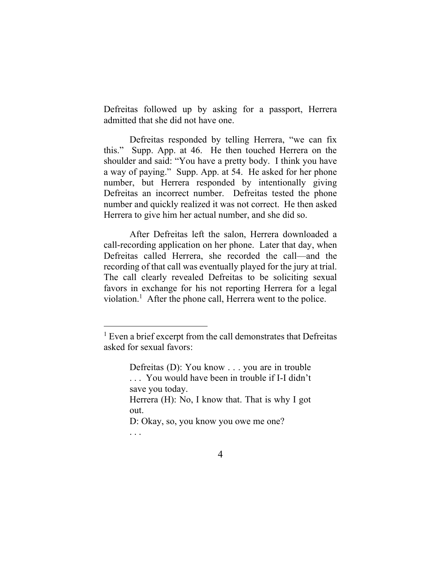Defreitas followed up by asking for a passport, Herrera admitted that she did not have one.

Defreitas responded by telling Herrera, "we can fix this." Supp. App. at 46. He then touched Herrera on the shoulder and said: "You have a pretty body. I think you have a way of paying." Supp. App. at 54. He asked for her phone number, but Herrera responded by intentionally giving Defreitas an incorrect number. Defreitas tested the phone number and quickly realized it was not correct. He then asked Herrera to give him her actual number, and she did so.

After Defreitas left the salon, Herrera downloaded a call-recording application on her phone. Later that day, when Defreitas called Herrera, she recorded the call—and the recording of that call was eventually played for the jury at trial. The call clearly revealed Defreitas to be soliciting sexual favors in exchange for his not reporting Herrera for a legal violation.<sup>1</sup> After the phone call, Herrera went to the police.

<sup>&</sup>lt;sup>1</sup> Even a brief excerpt from the call demonstrates that Defreitas asked for sexual favors:

Defreitas (D): You know . . . you are in trouble . . . You would have been in trouble if I-I didn't save you today. Herrera (H): No, I know that. That is why I got out. D: Okay, so, you know you owe me one?

<sup>. . .</sup>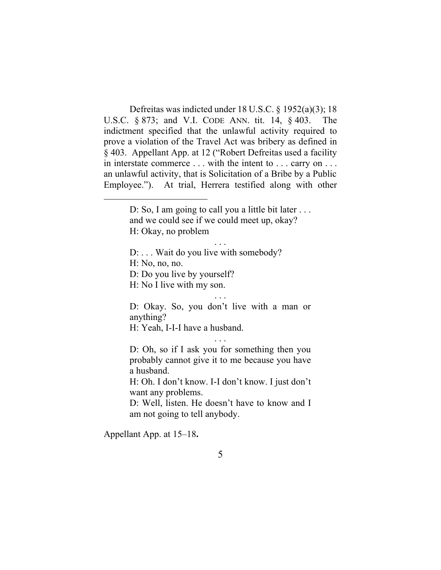Defreitas was indicted under 18 U.S.C. § 1952(a)(3); 18 U.S.C. § 873; and V.I. CODE ANN. tit. 14, § 403. The indictment specified that the unlawful activity required to prove a violation of the Travel Act was bribery as defined in § 403. Appellant App. at 12 ("Robert Defreitas used a facility in interstate commerce . . . with the intent to . . . carry on . . . an unlawful activity, that is Solicitation of a Bribe by a Public Employee."). At trial, Herrera testified along with other

. . .

D: ... Wait do you live with somebody?

H: No, no, no.

D: Do you live by yourself?

H: No I live with my son.

. . . D: Okay. So, you don't live with a man or anything?

H: Yeah, I-I-I have a husband.

D: Oh, so if I ask you for something then you probably cannot give it to me because you have a husband.

. . .

H: Oh. I don't know. I-I don't know. I just don't want any problems.

D: Well, listen. He doesn't have to know and I am not going to tell anybody.

Appellant App. at 15–18**.**

D: So, I am going to call you a little bit later . . . and we could see if we could meet up, okay? H: Okay, no problem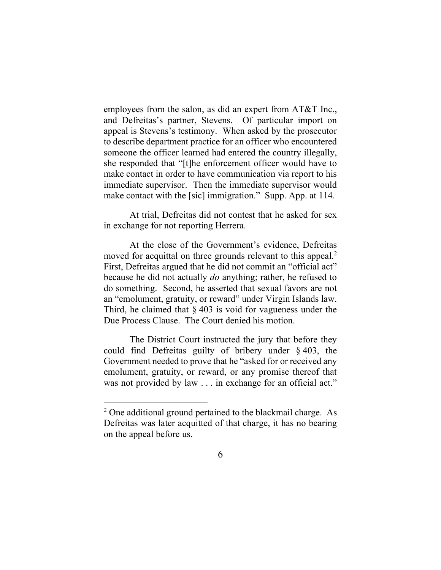employees from the salon, as did an expert from AT&T Inc., and Defreitas's partner, Stevens. Of particular import on appeal is Stevens's testimony. When asked by the prosecutor to describe department practice for an officer who encountered someone the officer learned had entered the country illegally, she responded that "[t]he enforcement officer would have to make contact in order to have communication via report to his immediate supervisor. Then the immediate supervisor would make contact with the [sic] immigration." Supp. App. at 114.

At trial, Defreitas did not contest that he asked for sex in exchange for not reporting Herrera.

At the close of the Government's evidence, Defreitas moved for acquittal on three grounds relevant to this appeal.<sup>2</sup> First, Defreitas argued that he did not commit an "official act" because he did not actually *do* anything; rather, he refused to do something. Second, he asserted that sexual favors are not an "emolument, gratuity, or reward" under Virgin Islands law. Third, he claimed that  $\S 403$  is void for vagueness under the Due Process Clause. The Court denied his motion.

The District Court instructed the jury that before they could find Defreitas guilty of bribery under § 403, the Government needed to prove that he "asked for or received any emolument, gratuity, or reward, or any promise thereof that was not provided by law . . . in exchange for an official act."

<sup>&</sup>lt;sup>2</sup> One additional ground pertained to the blackmail charge. As Defreitas was later acquitted of that charge, it has no bearing on the appeal before us.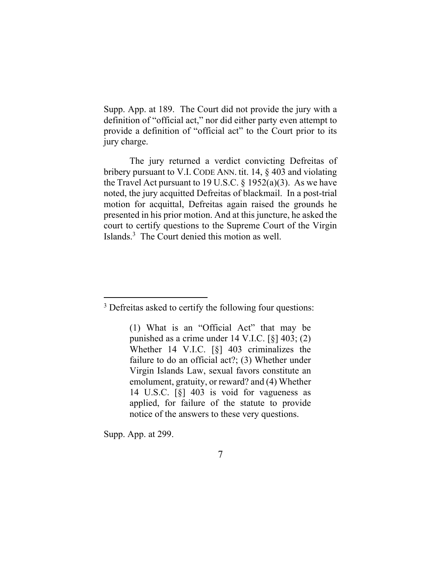Supp. App. at 189. The Court did not provide the jury with a definition of "official act," nor did either party even attempt to provide a definition of "official act" to the Court prior to its jury charge.

The jury returned a verdict convicting Defreitas of bribery pursuant to V.I. CODE ANN. tit. 14, § 403 and violating the Travel Act pursuant to 19 U.S.C.  $\S$  1952(a)(3). As we have noted, the jury acquitted Defreitas of blackmail. In a post-trial motion for acquittal, Defreitas again raised the grounds he presented in his prior motion. And at this juncture, he asked the court to certify questions to the Supreme Court of the Virgin Islands.<sup>3</sup> The Court denied this motion as well.

(1) What is an "Official Act" that may be punished as a crime under 14 V.I.C. [§] 403; (2) Whether 14 V.I.C. [§] 403 criminalizes the failure to do an official act?; (3) Whether under Virgin Islands Law, sexual favors constitute an emolument, gratuity, or reward? and (4) Whether 14 U.S.C. [§] 403 is void for vagueness as applied, for failure of the statute to provide notice of the answers to these very questions.

Supp. App. at 299.

<sup>&</sup>lt;sup>3</sup> Defreitas asked to certify the following four questions: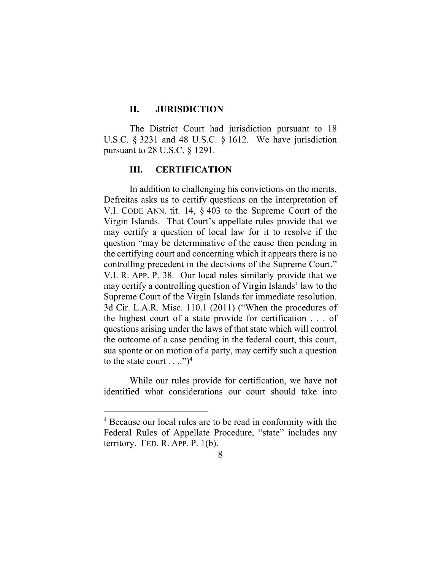# **II. JURISDICTION**

The District Court had jurisdiction pursuant to 18 U.S.C. § 3231 and 48 U.S.C. § 1612. We have jurisdiction pursuant to 28 U.S.C. § 1291.

# **III. CERTIFICATION**

In addition to challenging his convictions on the merits, Defreitas asks us to certify questions on the interpretation of V.I. CODE ANN. tit. 14, § 403 to the Supreme Court of the Virgin Islands. That Court's appellate rules provide that we may certify a question of local law for it to resolve if the question "may be determinative of the cause then pending in the certifying court and concerning which it appears there is no controlling precedent in the decisions of the Supreme Court." V.I. R. APP. P. 38. Our local rules similarly provide that we may certify a controlling question of Virgin Islands' law to the Supreme Court of the Virgin Islands for immediate resolution. 3d Cir. L.A.R. Misc. 110.1 (2011) ("When the procedures of the highest court of a state provide for certification . . . of questions arising under the laws of that state which will control the outcome of a case pending in the federal court, this court, sua sponte or on motion of a party, may certify such a question to the state court  $\dots$ .")<sup>4</sup>

While our rules provide for certification, we have not identified what considerations our court should take into

<sup>4</sup> Because our local rules are to be read in conformity with the Federal Rules of Appellate Procedure, "state" includes any territory. FED. R. APP. P. 1(b).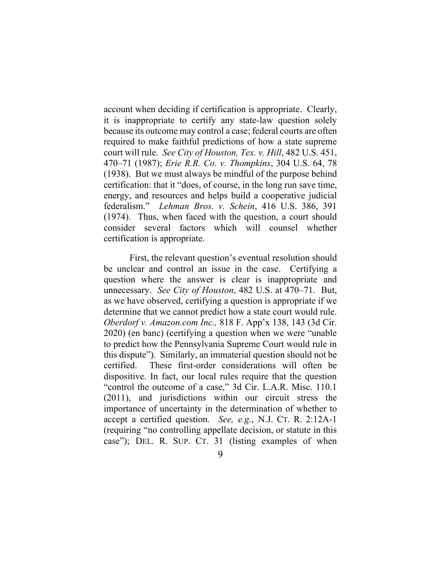account when deciding if certification is appropriate. Clearly, it is inappropriate to certify any state-law question solely because its outcome may control a case; federal courts are often required to make faithful predictions of how a state supreme court will rule. *See City of Houston, Tex. v. Hill*, 482 U.S. 451, 470–71 (1987); *Erie R.R. Co. v. Thompkins*, 304 U.S. 64, 78 (1938). But we must always be mindful of the purpose behind certification: that it "does, of course, in the long run save time, energy, and resources and helps build a cooperative judicial federalism." *Lehman Bros. v. Schein*, 416 U.S. 386, 391 (1974). Thus, when faced with the question, a court should consider several factors which will counsel whether certification is appropriate.

First, the relevant question's eventual resolution should be unclear and control an issue in the case. Certifying a question where the answer is clear is inappropriate and unnecessary. *See City of Houston*, 482 U.S. at 470–71. But, as we have observed, certifying a question is appropriate if we determine that we cannot predict how a state court would rule. *Oberdorf v. Amazon.com Inc.,* 818 F. App'x 138, 143 (3d Cir. 2020) (en banc) (certifying a question when we were "unable to predict how the Pennsylvania Supreme Court would rule in this dispute"). Similarly, an immaterial question should not be certified. These first-order considerations will often be dispositive. In fact, our local rules require that the question "control the outcome of a case," 3d Cir. L.A.R. Misc. 110.1 (2011), and jurisdictions within our circuit stress the importance of uncertainty in the determination of whether to accept a certified question. *See, e.g.*, N.J. CT. R. 2:12A-1 (requiring "no controlling appellate decision, or statute in this case"); DEL. R. SUP. CT. 31 (listing examples of when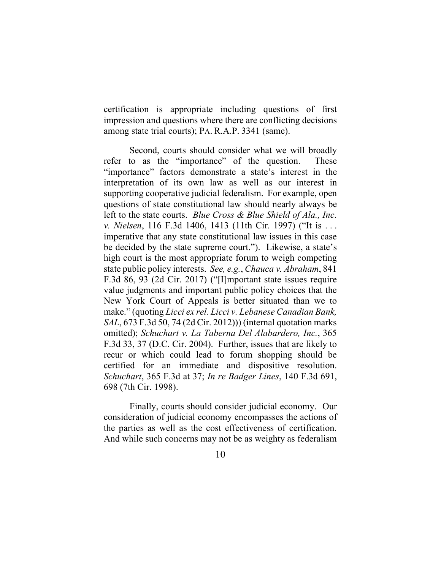certification is appropriate including questions of first impression and questions where there are conflicting decisions among state trial courts); PA. R.A.P. 3341 (same).

Second, courts should consider what we will broadly refer to as the "importance" of the question. These "importance" factors demonstrate a state's interest in the interpretation of its own law as well as our interest in supporting cooperative judicial federalism. For example, open questions of state constitutional law should nearly always be left to the state courts. *Blue Cross & Blue Shield of Ala., Inc. v. Nielsen*, 116 F.3d 1406, 1413 (11th Cir. 1997) ("It is . . . imperative that any state constitutional law issues in this case be decided by the state supreme court."). Likewise, a state's high court is the most appropriate forum to weigh competing state public policy interests. *See, e.g.*, *Chauca v. Abraham*, 841 F.3d 86, 93 (2d Cir. 2017) ("[I]mportant state issues require value judgments and important public policy choices that the New York Court of Appeals is better situated than we to make." (quoting *Licci ex rel. Licci v. Lebanese Canadian Bank, SAL*, 673 F.3d 50, 74 (2d Cir. 2012))) (internal quotation marks omitted); *Schuchart v. La Taberna Del Alabardero, Inc.*, 365 F.3d 33, 37 (D.C. Cir. 2004). Further, issues that are likely to recur or which could lead to forum shopping should be certified for an immediate and dispositive resolution. *Schuchart*, 365 F.3d at 37; *In re Badger Lines*, 140 F.3d 691, 698 (7th Cir. 1998).

Finally, courts should consider judicial economy. Our consideration of judicial economy encompasses the actions of the parties as well as the cost effectiveness of certification. And while such concerns may not be as weighty as federalism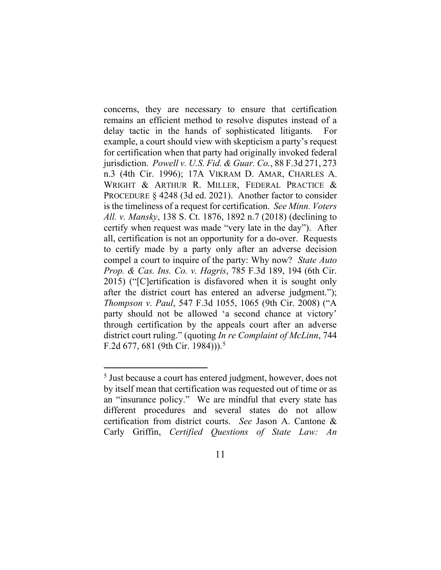concerns, they are necessary to ensure that certification remains an efficient method to resolve disputes instead of a delay tactic in the hands of sophisticated litigants. example, a court should view with skepticism a party's request for certification when that party had originally invoked federal jurisdiction. *Powell v. U.S. Fid. & Guar. Co.*, 88 F.3d 271, 273 n.3 (4th Cir. 1996); 17A VIKRAM D. AMAR, CHARLES A. WRIGHT & ARTHUR R. MILLER, FEDERAL PRACTICE & PROCEDURE § 4248 (3d ed. 2021). Another factor to consider is the timeliness of a request for certification. *See Minn. Voters All. v. Mansky*, 138 S. Ct. 1876, 1892 n.7 (2018) (declining to certify when request was made "very late in the day"). After all, certification is not an opportunity for a do-over. Requests to certify made by a party only after an adverse decision compel a court to inquire of the party: Why now? *State Auto Prop. & Cas. Ins. Co. v. Hagris*, 785 F.3d 189, 194 (6th Cir. 2015) ("[C]ertification is disfavored when it is sought only after the district court has entered an adverse judgment."); *Thompson v. Paul*, 547 F.3d 1055, 1065 (9th Cir. 2008) ("A party should not be allowed 'a second chance at victory' through certification by the appeals court after an adverse district court ruling." (quoting *In re Complaint of McLinn*, 744 F.2d 677, 681 (9th Cir. 1984))).<sup>5</sup>

<sup>&</sup>lt;sup>5</sup> Just because a court has entered judgment, however, does not by itself mean that certification was requested out of time or as an "insurance policy." We are mindful that every state has different procedures and several states do not allow certification from district courts. *See* Jason A. Cantone & Carly Griffin, *Certified Questions of State Law: An*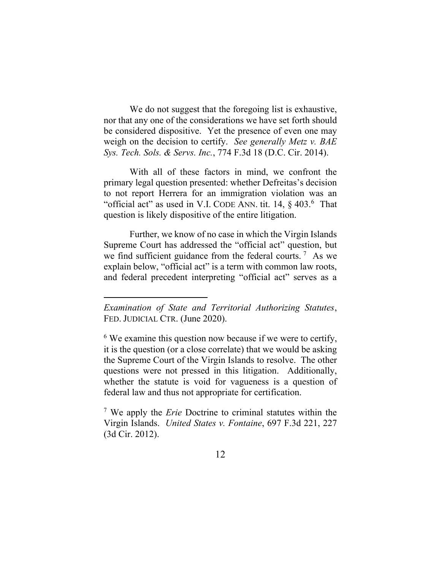We do not suggest that the foregoing list is exhaustive, nor that any one of the considerations we have set forth should be considered dispositive. Yet the presence of even one may weigh on the decision to certify. *See generally Metz v. BAE Sys. Tech. Sols. & Servs. Inc.*, 774 F.3d 18 (D.C. Cir. 2014).

With all of these factors in mind, we confront the primary legal question presented: whether Defreitas's decision to not report Herrera for an immigration violation was an "official act" as used in V.I. CODE ANN. tit.  $14, \S$  403.<sup>6</sup> That question is likely dispositive of the entire litigation.

Further, we know of no case in which the Virgin Islands Supreme Court has addressed the "official act" question, but we find sufficient guidance from the federal courts.<sup>7</sup> As we explain below, "official act" is a term with common law roots, and federal precedent interpreting "official act" serves as a

*Examination of State and Territorial Authorizing Statutes*, FED. JUDICIAL CTR. (June 2020).

 $6$  We examine this question now because if we were to certify, it is the question (or a close correlate) that we would be asking the Supreme Court of the Virgin Islands to resolve. The other questions were not pressed in this litigation. Additionally, whether the statute is void for vagueness is a question of federal law and thus not appropriate for certification.

<sup>7</sup> We apply the *Erie* Doctrine to criminal statutes within the Virgin Islands. *United States v. Fontaine*, 697 F.3d 221, 227 (3d Cir. 2012).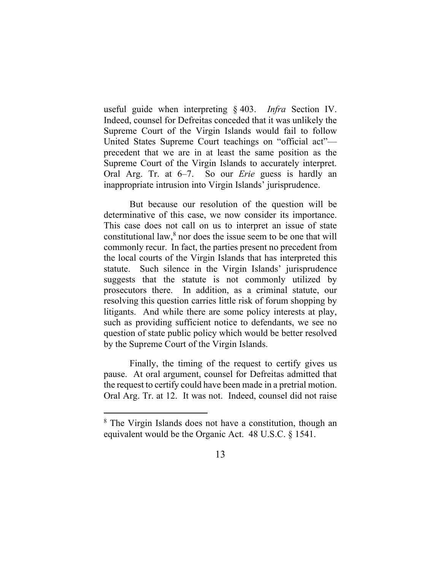useful guide when interpreting § 403. *Infra* Section IV. Indeed, counsel for Defreitas conceded that it was unlikely the Supreme Court of the Virgin Islands would fail to follow United States Supreme Court teachings on "official act" precedent that we are in at least the same position as the Supreme Court of the Virgin Islands to accurately interpret. Oral Arg. Tr. at 6–7. So our *Erie* guess is hardly an inappropriate intrusion into Virgin Islands' jurisprudence.

But because our resolution of the question will be determinative of this case, we now consider its importance. This case does not call on us to interpret an issue of state constitutional law, $8$  nor does the issue seem to be one that will commonly recur. In fact, the parties present no precedent from the local courts of the Virgin Islands that has interpreted this statute. Such silence in the Virgin Islands' jurisprudence suggests that the statute is not commonly utilized by prosecutors there. In addition, as a criminal statute, our resolving this question carries little risk of forum shopping by litigants. And while there are some policy interests at play, such as providing sufficient notice to defendants, we see no question of state public policy which would be better resolved by the Supreme Court of the Virgin Islands.

Finally, the timing of the request to certify gives us pause. At oral argument, counsel for Defreitas admitted that the request to certify could have been made in a pretrial motion. Oral Arg. Tr. at 12. It was not. Indeed, counsel did not raise

<sup>&</sup>lt;sup>8</sup> The Virgin Islands does not have a constitution, though an equivalent would be the Organic Act. 48 U.S.C. § 1541.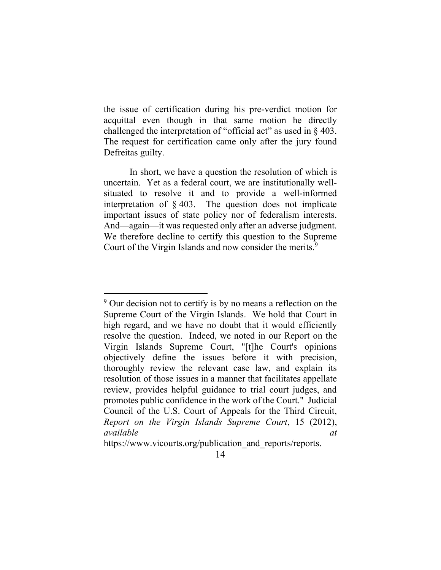the issue of certification during his pre-verdict motion for acquittal even though in that same motion he directly challenged the interpretation of "official act" as used in § 403. The request for certification came only after the jury found Defreitas guilty.

In short, we have a question the resolution of which is uncertain. Yet as a federal court, we are institutionally wellsituated to resolve it and to provide a well-informed interpretation of § 403. The question does not implicate important issues of state policy nor of federalism interests. And—again—it was requested only after an adverse judgment. We therefore decline to certify this question to the Supreme Court of the Virgin Islands and now consider the merits.<sup>9</sup>

<sup>&</sup>lt;sup>9</sup> Our decision not to certify is by no means a reflection on the Supreme Court of the Virgin Islands. We hold that Court in high regard, and we have no doubt that it would efficiently resolve the question. Indeed, we noted in our Report on the Virgin Islands Supreme Court, "[t]he Court's opinions objectively define the issues before it with precision, thoroughly review the relevant case law, and explain its resolution of those issues in a manner that facilitates appellate review, provides helpful guidance to trial court judges, and promotes public confidence in the work of the Court." Judicial Council of the U.S. Court of Appeals for the Third Circuit, *Report on the Virgin Islands Supreme Court*, 15 (2012), *available at*

https://www.vicourts.org/publication and reports/reports.

<sup>14</sup>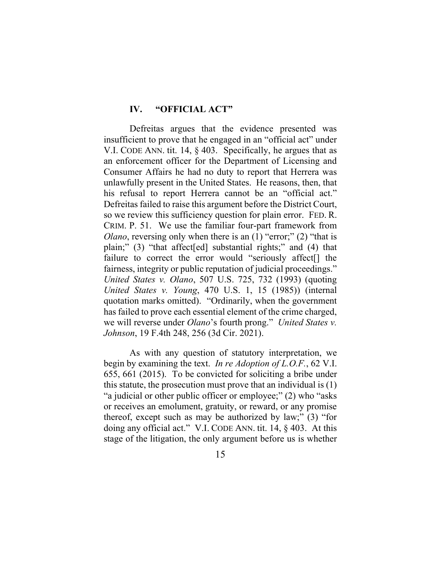## **IV. "OFFICIAL ACT"**

Defreitas argues that the evidence presented was insufficient to prove that he engaged in an "official act" under V.I. CODE ANN. tit. 14, § 403. Specifically, he argues that as an enforcement officer for the Department of Licensing and Consumer Affairs he had no duty to report that Herrera was unlawfully present in the United States. He reasons, then, that his refusal to report Herrera cannot be an "official act." Defreitas failed to raise this argument before the District Court, so we review this sufficiency question for plain error. FED. R. CRIM. P. 51. We use the familiar four-part framework from *Olano*, reversing only when there is an (1) "error;" (2) "that is plain;" (3) "that affect[ed] substantial rights;" and (4) that failure to correct the error would "seriously affect<sup>[]</sup> the fairness, integrity or public reputation of judicial proceedings." *United States v. Olano*, 507 U.S. 725, 732 (1993) (quoting *United States v. Young*, 470 U.S. 1, 15 (1985)) (internal quotation marks omitted). "Ordinarily, when the government has failed to prove each essential element of the crime charged, we will reverse under *Olano*'s fourth prong." *United States v. Johnson*, 19 F.4th 248, 256 (3d Cir. 2021).

As with any question of statutory interpretation, we begin by examining the text. *In re Adoption of L.O.F.*, 62 V.I. 655, 661 (2015). To be convicted for soliciting a bribe under this statute, the prosecution must prove that an individual is (1) "a judicial or other public officer or employee;" (2) who "asks or receives an emolument, gratuity, or reward, or any promise thereof, except such as may be authorized by law;" (3) "for doing any official act." V.I. CODE ANN. tit. 14, § 403. At this stage of the litigation, the only argument before us is whether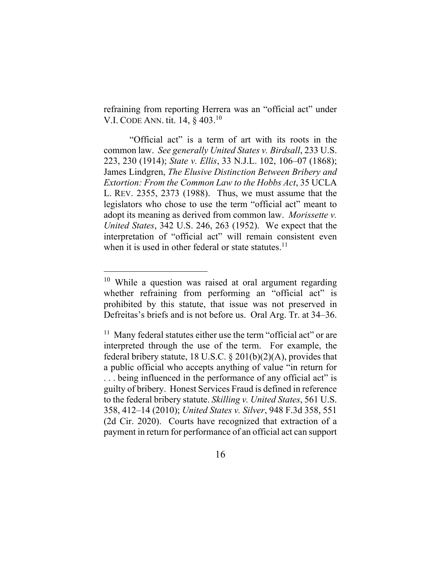refraining from reporting Herrera was an "official act" under V.I. CODE ANN. tit. 14, § 403.<sup>10</sup>

"Official act" is a term of art with its roots in the common law. *See generally United States v. Birdsall*, 233 U.S. 223, 230 (1914); *State v. Ellis*, 33 N.J.L. 102, 106–07 (1868); James Lindgren, *The Elusive Distinction Between Bribery and Extortion: From the Common Law to the Hobbs Act*, 35 UCLA L. REV. 2355, 2373 (1988). Thus, we must assume that the legislators who chose to use the term "official act" meant to adopt its meaning as derived from common law. *Morissette v. United States*, 342 U.S. 246, 263 (1952). We expect that the interpretation of "official act" will remain consistent even when it is used in other federal or state statutes.<sup>11</sup>

<sup>11</sup> Many federal statutes either use the term "official act" or are interpreted through the use of the term. For example, the federal bribery statute, 18 U.S.C.  $\S 201(b)(2)(A)$ , provides that a public official who accepts anything of value "in return for . . . being influenced in the performance of any official act" is guilty of bribery. Honest Services Fraud is defined in reference to the federal bribery statute. *Skilling v. United States*, 561 U.S. 358, 412–14 (2010); *United States v. Silver*, 948 F.3d 358, 551 (2d Cir. 2020). Courts have recognized that extraction of a payment in return for performance of an official act can support

 $10$  While a question was raised at oral argument regarding whether refraining from performing an "official act" is prohibited by this statute, that issue was not preserved in Defreitas's briefs and is not before us. Oral Arg. Tr. at 34–36.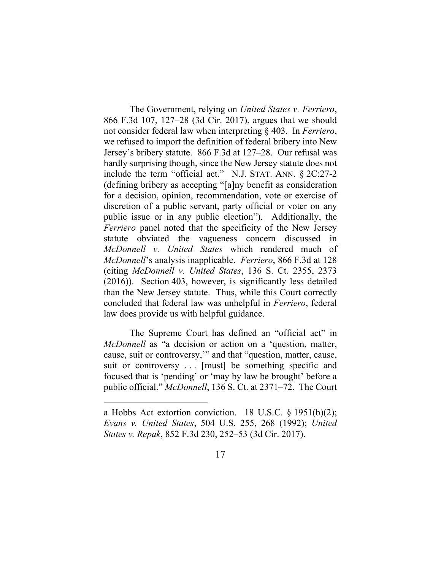The Government, relying on *United States v. Ferriero*, 866 F.3d 107, 127–28 (3d Cir. 2017), argues that we should not consider federal law when interpreting § 403. In *Ferriero*, we refused to import the definition of federal bribery into New Jersey's bribery statute. 866 F.3d at 127–28. Our refusal was hardly surprising though, since the New Jersey statute does not include the term "official act." N.J. STAT. ANN. § 2C:27-2 (defining bribery as accepting "[a]ny benefit as consideration for a decision, opinion, recommendation, vote or exercise of discretion of a public servant, party official or voter on any public issue or in any public election"). Additionally, the *Ferriero* panel noted that the specificity of the New Jersey statute obviated the vagueness concern discussed in *McDonnell v. United States* which rendered much of *McDonnell*'s analysis inapplicable. *Ferriero*, 866 F.3d at 128 (citing *McDonnell v. United States*, 136 S. Ct. 2355, 2373 (2016)). Section 403, however, is significantly less detailed than the New Jersey statute. Thus, while this Court correctly concluded that federal law was unhelpful in *Ferriero*, federal law does provide us with helpful guidance.

The Supreme Court has defined an "official act" in *McDonnell* as "a decision or action on a 'question, matter, cause, suit or controversy,'" and that "question, matter, cause, suit or controversy ... [must] be something specific and focused that is 'pending' or 'may by law be brought' before a public official." *McDonnell*, 136 S. Ct. at 2371–72. The Court

a Hobbs Act extortion conviction. 18 U.S.C.  $\S$  1951(b)(2); *Evans v. United States*, 504 U.S. 255, 268 (1992); *United States v. Repak*, 852 F.3d 230, 252–53 (3d Cir. 2017).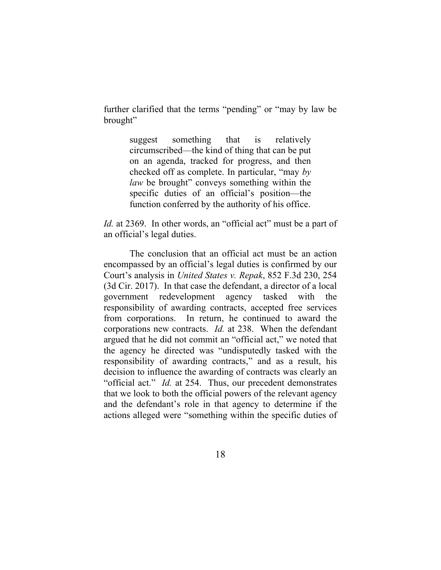further clarified that the terms "pending" or "may by law be brought"

> suggest something that is relatively circumscribed—the kind of thing that can be put on an agenda, tracked for progress, and then checked off as complete. In particular, "may *by law* be brought" conveys something within the specific duties of an official's position—the function conferred by the authority of his office.

*Id.* at 2369. In other words, an "official act" must be a part of an official's legal duties.

The conclusion that an official act must be an action encompassed by an official's legal duties is confirmed by our Court's analysis in *United States v. Repak*, 852 F.3d 230, 254 (3d Cir. 2017). In that case the defendant, a director of a local government redevelopment agency tasked with the responsibility of awarding contracts, accepted free services from corporations. In return, he continued to award the corporations new contracts. *Id.* at 238. When the defendant argued that he did not commit an "official act," we noted that the agency he directed was "undisputedly tasked with the responsibility of awarding contracts," and as a result, his decision to influence the awarding of contracts was clearly an "official act." *Id.* at 254. Thus, our precedent demonstrates that we look to both the official powers of the relevant agency and the defendant's role in that agency to determine if the actions alleged were "something within the specific duties of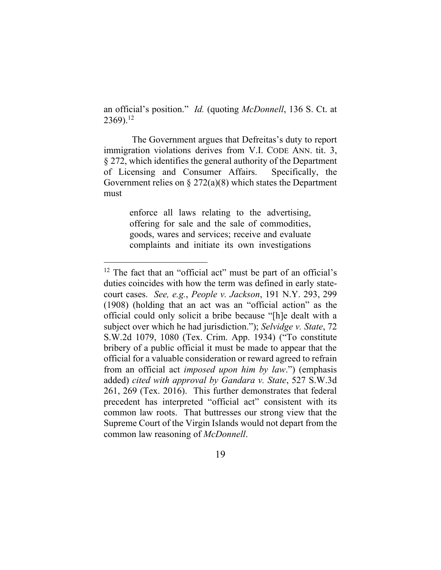an official's position." *Id.* (quoting *McDonnell*, 136 S. Ct. at 2369).<sup>12</sup>

The Government argues that Defreitas's duty to report immigration violations derives from V.I. CODE ANN. tit. 3, § 272, which identifies the general authority of the Department of Licensing and Consumer Affairs. Specifically, the Government relies on  $\S 272(a)(8)$  which states the Department must

> enforce all laws relating to the advertising, offering for sale and the sale of commodities, goods, wares and services; receive and evaluate complaints and initiate its own investigations

<sup>&</sup>lt;sup>12</sup> The fact that an "official act" must be part of an official's duties coincides with how the term was defined in early statecourt cases. *See, e.g.*, *People v. Jackson*, 191 N.Y. 293, 299 (1908) (holding that an act was an "official action" as the official could only solicit a bribe because "[h]e dealt with a subject over which he had jurisdiction."); *Selvidge v. State*, 72 S.W.2d 1079, 1080 (Tex. Crim. App. 1934) ("To constitute bribery of a public official it must be made to appear that the official for a valuable consideration or reward agreed to refrain from an official act *imposed upon him by law*.") (emphasis added) *cited with approval by Gandara v. State*, 527 S.W.3d 261, 269 (Tex. 2016). This further demonstrates that federal precedent has interpreted "official act" consistent with its common law roots. That buttresses our strong view that the Supreme Court of the Virgin Islands would not depart from the common law reasoning of *McDonnell*.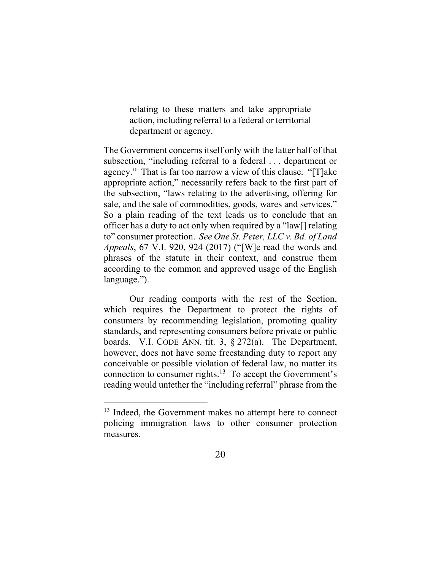relating to these matters and take appropriate action, including referral to a federal or territorial department or agency.

The Government concerns itself only with the latter half of that subsection, "including referral to a federal . . . department or agency." That is far too narrow a view of this clause. "[T]ake appropriate action," necessarily refers back to the first part of the subsection, "laws relating to the advertising, offering for sale, and the sale of commodities, goods, wares and services." So a plain reading of the text leads us to conclude that an officer has a duty to act only when required by a "law[] relating to" consumer protection. *See One St. Peter, LLC v. Bd. of Land Appeals*, 67 V.I. 920, 924 (2017) ("[W]e read the words and phrases of the statute in their context, and construe them according to the common and approved usage of the English language.").

Our reading comports with the rest of the Section, which requires the Department to protect the rights of consumers by recommending legislation, promoting quality standards, and representing consumers before private or public boards. V.I. CODE ANN. tit. 3,  $\S 272(a)$ . The Department, however, does not have some freestanding duty to report any conceivable or possible violation of federal law, no matter its connection to consumer rights. $13$  To accept the Government's reading would untether the "including referral" phrase from the

<sup>&</sup>lt;sup>13</sup> Indeed, the Government makes no attempt here to connect policing immigration laws to other consumer protection measures.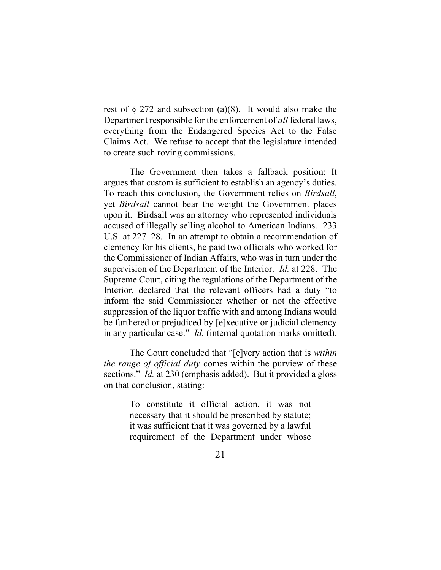rest of § 272 and subsection (a)(8). It would also make the Department responsible for the enforcement of *all* federal laws, everything from the Endangered Species Act to the False Claims Act. We refuse to accept that the legislature intended to create such roving commissions.

The Government then takes a fallback position: It argues that custom is sufficient to establish an agency's duties. To reach this conclusion, the Government relies on *Birdsall*, yet *Birdsall* cannot bear the weight the Government places upon it. Birdsall was an attorney who represented individuals accused of illegally selling alcohol to American Indians. 233 U.S. at 227–28. In an attempt to obtain a recommendation of clemency for his clients, he paid two officials who worked for the Commissioner of Indian Affairs, who was in turn under the supervision of the Department of the Interior. *Id.* at 228. The Supreme Court, citing the regulations of the Department of the Interior, declared that the relevant officers had a duty "to inform the said Commissioner whether or not the effective suppression of the liquor traffic with and among Indians would be furthered or prejudiced by [e]xecutive or judicial clemency in any particular case." *Id.* (internal quotation marks omitted).

The Court concluded that "[e]very action that is *within the range of official duty* comes within the purview of these sections." *Id.* at 230 (emphasis added). But it provided a gloss on that conclusion, stating:

> To constitute it official action, it was not necessary that it should be prescribed by statute; it was sufficient that it was governed by a lawful requirement of the Department under whose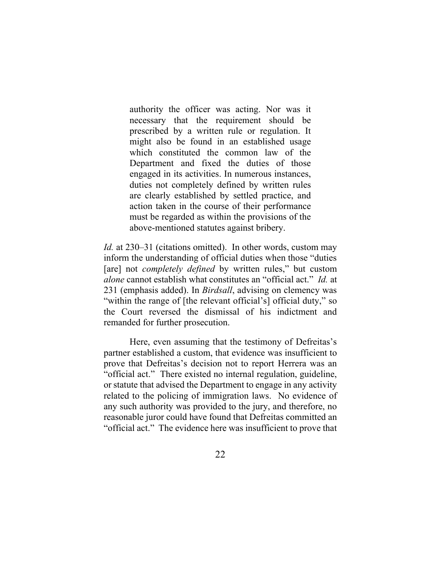authority the officer was acting. Nor was it necessary that the requirement should be prescribed by a written rule or regulation. It might also be found in an established usage which constituted the common law of the Department and fixed the duties of those engaged in its activities. In numerous instances, duties not completely defined by written rules are clearly established by settled practice, and action taken in the course of their performance must be regarded as within the provisions of the above-mentioned statutes against bribery.

*Id.* at 230–31 (citations omitted). In other words, custom may inform the understanding of official duties when those "duties [are] not *completely defined* by written rules," but custom *alone* cannot establish what constitutes an "official act." *Id.* at 231 (emphasis added). In *Birdsall*, advising on clemency was "within the range of [the relevant official's] official duty," so the Court reversed the dismissal of his indictment and remanded for further prosecution.

Here, even assuming that the testimony of Defreitas's partner established a custom, that evidence was insufficient to prove that Defreitas's decision not to report Herrera was an "official act." There existed no internal regulation, guideline, or statute that advised the Department to engage in any activity related to the policing of immigration laws. No evidence of any such authority was provided to the jury, and therefore, no reasonable juror could have found that Defreitas committed an "official act." The evidence here was insufficient to prove that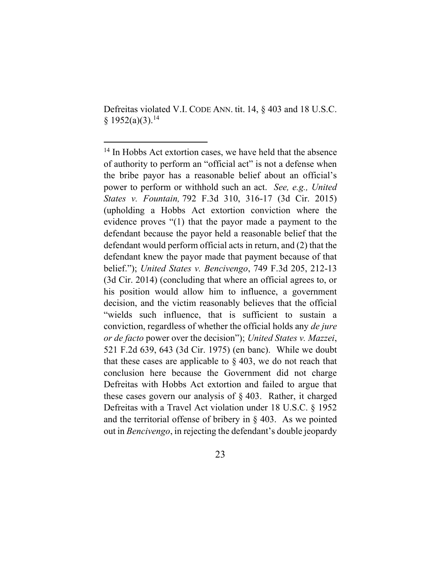Defreitas violated V.I. CODE ANN. tit. 14, § 403 and 18 U.S.C.  $§ 1952(a)(3).<sup>14</sup>$ 

<sup>&</sup>lt;sup>14</sup> In Hobbs Act extortion cases, we have held that the absence of authority to perform an "official act" is not a defense when the bribe payor has a reasonable belief about an official's power to perform or withhold such an act. *See, e.g., United States v. Fountain,* 792 F.3d 310, 316-17 (3d Cir. 2015) (upholding a Hobbs Act extortion conviction where the evidence proves "(1) that the payor made a payment to the defendant because the payor held a reasonable belief that the defendant would perform official acts in return, and (2) that the defendant knew the payor made that payment because of that belief."); *United States v. Bencivengo*, 749 F.3d 205, 212-13 (3d Cir. 2014) (concluding that where an official agrees to, or his position would allow him to influence, a government decision, and the victim reasonably believes that the official "wields such influence, that is sufficient to sustain a conviction, regardless of whether the official holds any *de jure or de facto* power over the decision"); *United States v. Mazzei*, 521 F.2d 639, 643 (3d Cir. 1975) (en banc). While we doubt that these cases are applicable to  $\S 403$ , we do not reach that conclusion here because the Government did not charge Defreitas with Hobbs Act extortion and failed to argue that these cases govern our analysis of § 403. Rather, it charged Defreitas with a Travel Act violation under 18 U.S.C. § 1952 and the territorial offense of bribery in  $\S$  403. As we pointed out in *Bencivengo*, in rejecting the defendant's double jeopardy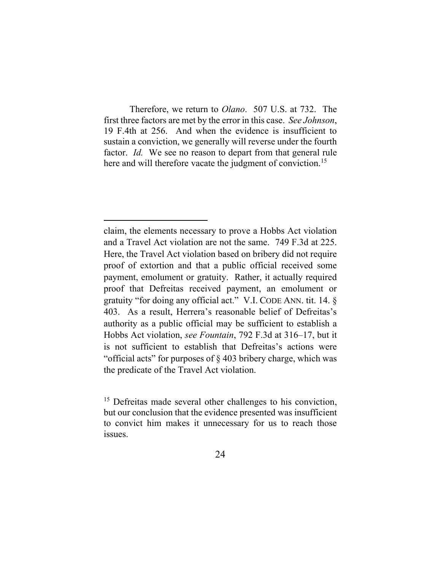Therefore, we return to *Olano*. 507 U.S. at 732. The first three factors are met by the error in this case. *See Johnson*, 19 F.4th at 256. And when the evidence is insufficient to sustain a conviction, we generally will reverse under the fourth factor. *Id.* We see no reason to depart from that general rule here and will therefore vacate the judgment of conviction.<sup>15</sup>

claim, the elements necessary to prove a Hobbs Act violation and a Travel Act violation are not the same. 749 F.3d at 225. Here, the Travel Act violation based on bribery did not require proof of extortion and that a public official received some payment, emolument or gratuity. Rather, it actually required proof that Defreitas received payment, an emolument or gratuity "for doing any official act." V.I. CODE ANN. tit. 14. § 403. As a result, Herrera's reasonable belief of Defreitas's authority as a public official may be sufficient to establish a Hobbs Act violation, *see Fountain*, 792 F.3d at 316–17, but it is not sufficient to establish that Defreitas's actions were "official acts" for purposes of § 403 bribery charge, which was the predicate of the Travel Act violation.

<sup>&</sup>lt;sup>15</sup> Defreitas made several other challenges to his conviction, but our conclusion that the evidence presented was insufficient to convict him makes it unnecessary for us to reach those issues.

<sup>24</sup>